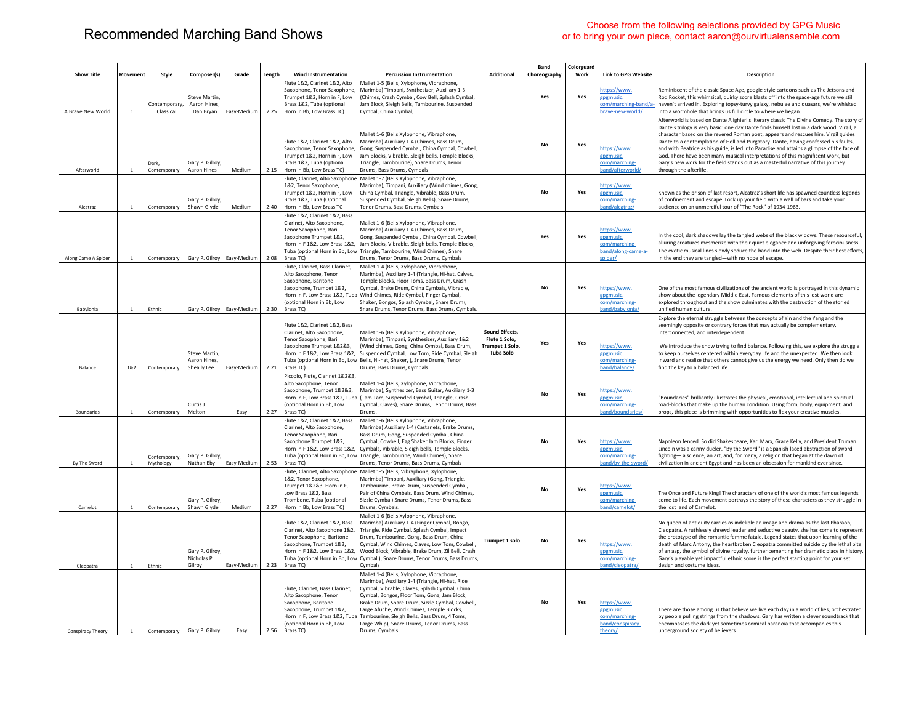## Choose from the following selections provided by GPG Music<br>
Choose from the following selections provided by GPG Music<br>
Choose from the following selections provided by GPG Music<br>
Choose from the following selections provi or to bring your own piece, contact aaron@ourvirtualensemble.com

|                     |                |                             |                                                  |             |        |                                                                                                                                                                                               |                                                                                                                                                                                                                                                                                                                                                                                                                                                |                                                                              | Band         | Colorguard |                                                                           |                                                                                                                                                                                                                                                                                                                                                                                                                                                                                                                                                                                                                                                                   |
|---------------------|----------------|-----------------------------|--------------------------------------------------|-------------|--------|-----------------------------------------------------------------------------------------------------------------------------------------------------------------------------------------------|------------------------------------------------------------------------------------------------------------------------------------------------------------------------------------------------------------------------------------------------------------------------------------------------------------------------------------------------------------------------------------------------------------------------------------------------|------------------------------------------------------------------------------|--------------|------------|---------------------------------------------------------------------------|-------------------------------------------------------------------------------------------------------------------------------------------------------------------------------------------------------------------------------------------------------------------------------------------------------------------------------------------------------------------------------------------------------------------------------------------------------------------------------------------------------------------------------------------------------------------------------------------------------------------------------------------------------------------|
| <b>Show Title</b>   | Movement       | Style                       | Composer(s)                                      | Grade       | Length | <b>Wind Instrumentation</b>                                                                                                                                                                   | <b>Percussion Instrumentation</b>                                                                                                                                                                                                                                                                                                                                                                                                              | <b>Additional</b>                                                            | Choreography | Work       | <b>Link to GPG Website</b>                                                | <b>Description</b>                                                                                                                                                                                                                                                                                                                                                                                                                                                                                                                                                                                                                                                |
| A Brave New World   | 1              | Contemporar<br>Classical    | <b>Steve Martin</b><br>Aaron Hines,<br>Dan Bryan | Easy-Medium | 2:25   | lute 1&2. Clarinet 1&2. Alto<br>Saxophone, Tenor Saxophone.<br>Trumpet 1&2, Horn in F, Low<br>Brass 1&2, Tuba (optional<br>Horn in Bb, Low Brass TC)                                          | Mallet 1-5 (Bells, Xylophone, Vibraphone,<br>Marimba) Timpani, Synthesizer, Auxiliary 1-3<br>(Chimes, Crash Cymbal, Cow Bell, Splash Cymbal)<br>Jam Block, Sleigh Bells, Tambourine, Suspended<br>Cymbal, China Cymbal,                                                                                                                                                                                                                        |                                                                              | Yes          | Yes        | ttps://www.<br>gpgmusic.<br>:om/marching-band/a-<br>brave-new-world/      | Reminiscent of the classic Space Age, googie-style cartoons such as The Jetsons and<br>Rod Rocket, this whimsical, quirky score blasts off into the space-age future we still<br>haven't arrived in. Exploring topsy-turvy galaxy, nebulae and quasars, we're whisked<br>into a wormhole that brings us full circle to where we began.                                                                                                                                                                                                                                                                                                                            |
| Afterworld          | $\mathbf{1}$   | Dark.<br>Contemporary       | Gary P. Gilroy<br>Aaron Hines                    | Medium      | 2:15   | Flute 1&2, Clarinet 1&2, Alto<br>Saxophone, Tenor Saxophone.<br>Trumpet 1&2, Horn in F, Low<br>Brass 1&2, Tuba (optional<br>Horn in Bb, Low Brass TC)                                         | Mallet 1-6 (Bells Xylophone, Vibraphone,<br>Marimba) Auxiliary 1-4 (Chimes, Bass Drum,<br>Gong, Suspended Cymbal, China Cymbal, Cowbell,<br>Jam Blocks, Vibrable, Sleigh bells, Temple Blocks,<br>Triangle, Tambourine), Snare Drums, Tenor<br>Drums, Bass Drums, Cymbals                                                                                                                                                                      |                                                                              | <b>No</b>    | Yes        | ttps://www.<br>pgmusic.<br>:om/marching-<br>and/afterworld/               | Afterworld is based on Dante Alighieri's literary classic The Divine Comedy. The story of<br>Dante's trilogy is very basic: one day Dante finds himself lost in a dark wood. Virgil, a<br>character based on the revered Roman poet, appears and rescues him. Virgil guides<br>Dante to a contemplation of Hell and Purgatory. Dante, having confessed his faults,<br>and with Beatrice as his guide, is led into Paradise and attains a glimpse of the face of<br>God. There have been many musical interpretations of this magnificent work, but<br>Gary's new work for the field stands out as a masterful narrative of this journey<br>through the afterlife. |
| Alcatraz            | $\overline{1}$ | Contemporary                | Gary P. Gilroy,<br>Shawn Glyde                   | Medium      | 2:40   | Flute, Clarinet, Alto Saxophon<br>1&2, Tenor Saxophone,<br>Trumpet 1&2, Horn in F, Low<br>Brass 1&2, Tuba (Optional<br>Horn in Bb, Low Brass TC                                               | Mallet 1-7 (Bells Xylophone, Vibraphone,<br>Marimba), Timpani, Auxiliary (Wind chimes, Gong,<br>China Cymbal, Triangle, Vibrable, Bass Drum,<br>Suspended Cymbal, Sleigh Bells), Snare Drums,<br>Tenor Drums, Bass Drums, Cymbals                                                                                                                                                                                                              |                                                                              | No           | Yes        | ttps://www.<br>gpgmusic.<br>:om/marching-<br>and/alcatraz/                | Known as the prison of last resort, Alcatraz's short life has spawned countless legends<br>of confinement and escape. Lock up your field with a wall of bars and take your<br>audience on an unmerciful tour of "The Rock" of 1934-1963.                                                                                                                                                                                                                                                                                                                                                                                                                          |
| Along Came A Spider | $\mathbf{1}$   | Contemporary                | Gary P. Gilroy   Easy-Medium                     |             | 2:08   | Flute 1&2, Clarinet 1&2, Bass<br>Clarinet, Alto Saxophone,<br>Tenor Saxophone, Bari<br>Saxophone Trumpet 1&2,<br>Horn in F 1&2, Low Brass 1&2.<br>Brass TC)                                   | Mallet 1-6 (Bells Xylophone, Vibraphone,<br>Marimba) Auxiliary 1-4 (Chimes, Bass Drum,<br>Gong, Suspended Cymbal, China Cymbal, Cowbell<br>Jam Blocks, Vibrable, Sleigh bells, Temple Blocks,<br>Tuba (optional Horn in Bb, Low Triangle, Tambourine, Wind Chimes), Snare<br>Drums, Tenor Drums, Bass Drums, Cymbals                                                                                                                           |                                                                              | Yes          | Yes        | ittps://www.<br>tpgmusic.<br>om/marching-<br>band/along-came-a-<br>pider/ | In the cool, dark shadows lay the tangled webs of the black widows. These resourceful,<br>alluring creatures mesmerize with their quiet elegance and unforgiving ferociousness.<br>The exotic musical lines slowly seduce the band into the web. Despite their best efforts,<br>in the end they are tangled-with no hope of escape.                                                                                                                                                                                                                                                                                                                               |
| Babylonia           | $\overline{1}$ | Ethnic                      | Gary P. Gilroy   Easy-Medium                     |             | 2:30   | Flute, Clarinet, Bass Clarinet,<br>Alto Saxophone, Tenor<br>Saxophone, Baritone<br>Saxophone, Trumpet 1&2.<br>(optional Horn in Bb, Low<br>Brass TC)                                          | Mallet 1-4 (Bells, Xylophone, Vibraphone,<br>Marimba), Auxiliary 1-4 (Triangle, Hi-hat, Calves,<br>Temple Blocks, Floor Toms, Bass Drum, Crash<br>Cymbal, Brake Drum, China Cymbals, Vibrable,<br>Horn in F, Low Brass 1&2, Tuba Wind Chimes, Ride Cymbal, Finger Cymbal,<br>Shaker, Bongos, Splash Cymbal, Snare Drum),<br>Snare Drums, Tenor Drums, Bass Drums, Cymbals.                                                                     |                                                                              | <b>No</b>    | Yes        | ttps://www.<br>epemusic.<br>om/marching-<br>and/babylonia/                | One of the most famous civilizations of the ancient world is portrayed in this dynamic<br>show about the legendary Middle East. Famous elements of this lost world are<br>explored throughout and the show culminates with the destruction of the storied<br>unified human culture                                                                                                                                                                                                                                                                                                                                                                                |
| Balance             | 182            | Contemporary                | Steve Martin<br>Aaron Hines,<br>Sheally Lee      | Easy-Medium | 2:21   | Flute 1&2, Clarinet 1&2, Bass<br>Clarinet. Alto Saxophone.<br>Tenor Saxophone, Bari<br>Saxophone Trumpet 1&2&3,<br>Brass TC)                                                                  | Mallet 1-6 (Bells Xylophone, Vibraphone,<br>Marimba), Timpani, Synthesizer, Auxiliary 1&2<br>(Wind chimes, Gong, China Cymbal, Bass Drum,<br>Horn in F 1&2, Low Brass 1&2, Suspended Cymbal, Low Tom, Ride Cymbal, Sleigh<br>Tuba (optional Horn in Bb, Low Bells, Hi-hat, Shaker, ), Snare Drums, Tenor<br>Drums, Bass Drums, Cymbals                                                                                                         | Sound Effects,<br>Flute 1 Solo,<br><b>Trumpet 1 Solo</b><br><b>Tuba Solo</b> | Yes          | Yes        | ttps://www.<br>gpgmusic.<br>om/marching-<br>and/balance/                  | Explore the eternal struggle between the concepts of Yin and the Yang and the<br>seemingly opposite or contrary forces that may actually be complementary,<br>interconnected, and interdependent.<br>We introduce the show trying to find balance. Following this, we explore the struggle<br>to keep ourselves centered within everyday life and the unexpected. We then look<br>inward and realize that others cannot give us the energy we need. Only then do we<br>find the key to a balanced life.                                                                                                                                                           |
| <b>Boundaries</b>   | $\mathbf{1}$   | Contemporary                | Curtis J<br>Melton                               | Easy        | 2:27   | Piccolo, Flute, Clarinet 1&2&3,<br>Alto Saxophone, Tenor<br>Saxophone, Trumpet 1&2&3,<br>(optional Horn in Bb, Low<br>Brass TC)                                                               | Mallet 1-4 (Bells, Xylophone, Vibraphone,<br>Marimba), Synthesizer, Bass Guitar, Auxiliary 1-3<br>Horn in F. Low Brass 1&2. Tuba (Tam Tam. Suspended Cymbal, Triangle, Crash<br>Cymbal, Claves), Snare Drums, Tenor Drums, Bass<br>Drums.                                                                                                                                                                                                      |                                                                              | No           | Yes        | ttps://www.<br>tpgmusic.<br>com/marching-<br>and/boundaries/              | "Boundaries" brilliantly illustrates the physical, emotional, intellectual and spiritual<br>road-blocks that make up the human condition. Using form, body, equipment, and<br>props, this piece is brimming with opportunities to flex your creative muscles.                                                                                                                                                                                                                                                                                                                                                                                                     |
| By The Sword        | $\overline{1}$ | Contemporary.<br>Mythology  | Gary P. Gilroy,<br>Nathan Eby                    | Easy-Medium | 2:53   | Flute 1&2, Clarinet 1&2, Bass<br>Clarinet, Alto Saxophone,<br>Tenor Saxophone, Bari<br>Saxophone Trumpet 1&2,<br>Horn in F 1&2, Low Brass 1&2,<br>Tuba (optional Horn in Bb, Low<br>Brass TC) | Mallet 1-6 (Bells Xylophone, Vibraphone,<br>Marimba) Auxiliary 1-4 (Castanets, Brake Drums,<br>Bass Drum, Gong, Suspended Cymbal, China<br>Cymbal, Cowbell, Egg Shaker Jam Blocks, Finger<br>Cymbals, Vibrable, Sleigh bells, Temple Blocks,<br>Triangle, Tambourine, Wind Chimes), Snare<br>Drums, Tenor Drums, Bass Drums, Cymbals                                                                                                           |                                                                              | No           | Yes        | https://www.<br>gpgmusic.<br>om/marching-<br>and/by-the-sword/            | Napoleon fenced. So did Shakespeare, Karl Marx, Grace Kelly, and President Truman.<br>Lincoln was a canny dueler. "By the Sword" is a Spanish-laced abstraction of sword<br>fighting- a science, an art, and, for many, a religion that began at the dawn of<br>civilization in ancient Egypt and has been an obsession for mankind ever since.                                                                                                                                                                                                                                                                                                                   |
| Camelot             | <sup>1</sup>   | Contemporary                | Gary P. Gilrov<br>Shawn Glyde                    | Medium      | 2:27   | Flute, Clarinet, Alto Saxophone<br>1&2, Tenor Saxophone,<br>Trumpet 1&2&3. Horn in F,<br>Low Brass 1&2, Bass<br>Trombone, Tuba (optional<br>Horn in Bb, Low Brass TC)                         | Mallet 1-5 (Bells, Vibraphone, Xylophone,<br>Marimba) Timpani, Auxiliary (Gong, Triangle,<br>Tambourine, Brake Drum, Suspended Cymbal.<br>Pair of China Cymbals, Bass Drum, Wind Chimes,<br>Sizzle Cymbal) Snare Drums, Tenor Drums, Bass<br>Drums, Cymbals.                                                                                                                                                                                   |                                                                              | No           | Yes        | ttps://www.<br>pgmusic.<br>om/marching-<br>and/camelot/                   | The Once and Future King! The characters of one of the world's most famous legends<br>come to life. Each movement portrays the story of these characters as they struggle in<br>the lost land of Camelot.                                                                                                                                                                                                                                                                                                                                                                                                                                                         |
| Cleopatra           | 1              | Ethnic                      | Gary P. Gilroy,<br>Nicholas P.<br>Gilroy         | Easy-Medium | 2:23   | Flute 1&2, Clarinet 1&2, Bass<br>Clarinet, Alto Saxophone 1&2,<br>Tenor Saxophone, Baritone<br>Saxophone, Trumpet 1&2,<br>Horn in F 1&2, Low Brass 1&2,<br>Brass TC)                          | Mallet 1-6 (Bells Xylophone, Vibraphone,<br>Marimba) Auxiliary 1-4 (Finger Cymbal, Bongo,<br>Triangle, Ride Cymbal, Splash Cymbal, Impact<br>Drum, Tambourine, Gong, Bass Drum, China<br>Cymbal, Wind Chimes, Claves, Low Tom, Cowbell,<br>Wood Block, Vibrable, Brake Drum, Zil Bell, Crash<br>Tuba (optional Horn in Bb, Low Cymbal), Snare Drums, Tenor Drums, Bass Drums,<br>Cymbals                                                       | <b>Trumpet 1 solo</b>                                                        | No           | Yes        | ttps://www.<br>epgmusic.<br>com/marching-<br>and/cleopatra/               | No queen of antiquity carries as indelible an image and drama as the last Pharaoh,<br>Cleopatra. A ruthlessly shrewd leader and seductive beauty, she has come to represent<br>the prototype of the romantic femme fatale. Legend states that upon learning of the<br>death of Marc Antony, the heartbroken Cleopatra committed suicide by the lethal bite<br>of an asp, the symbol of divine royalty, further cementing her dramatic place in history.<br>Gary's playable yet impactful ethnic score is the perfect starting point for your set<br>design and costume ideas.                                                                                     |
| Conspiracy Theory   | 1              | Contemporary Gary P. Gilroy |                                                  | Easy        | 2:56   | Flute, Clarinet, Bass Clarinet,<br>Alto Saxophone, Tenor<br>Saxophone, Baritone<br>Saxophone, Trumpet 1&2,<br>(optional Horn in Bb, Low<br>Brass TC)                                          | Mallet 1-4 (Bells, Xylophone, Vibraphone,<br>Marimba), Auxiliary 1-4 (Triangle, Hi-hat, Ride<br>Cymbal, Vibrable, Claves, Splash Cymbal, China<br>Cymbal, Bongos, Floor Tom, Gong, Jam Block,<br>Brake Drum, Snare Drum, Sizzle Cymbal, Cowbell,<br>Large Afuche, Wind Chimes, Temple Blocks,<br>Horn in F, Low Brass 1&2, Tuba Tambourine, Sleigh Bells, Bass Drum, 4 Toms,<br>Large Whip), Snare Drums, Tenor Drums, Bass<br>Drums, Cymbals. |                                                                              | No           | Yes        | ittps://www.<br>tpgmusic.<br>com/marching-<br>band/conspiracy-<br>heory/  | There are those among us that believe we live each day in a world of lies, orchestrated<br>by people pulling strings from the shadows. Gary has written a clever soundtrack that<br>encompasses the dark yet sometimes comical paranoia that accompanies this<br>underground society of believers                                                                                                                                                                                                                                                                                                                                                                 |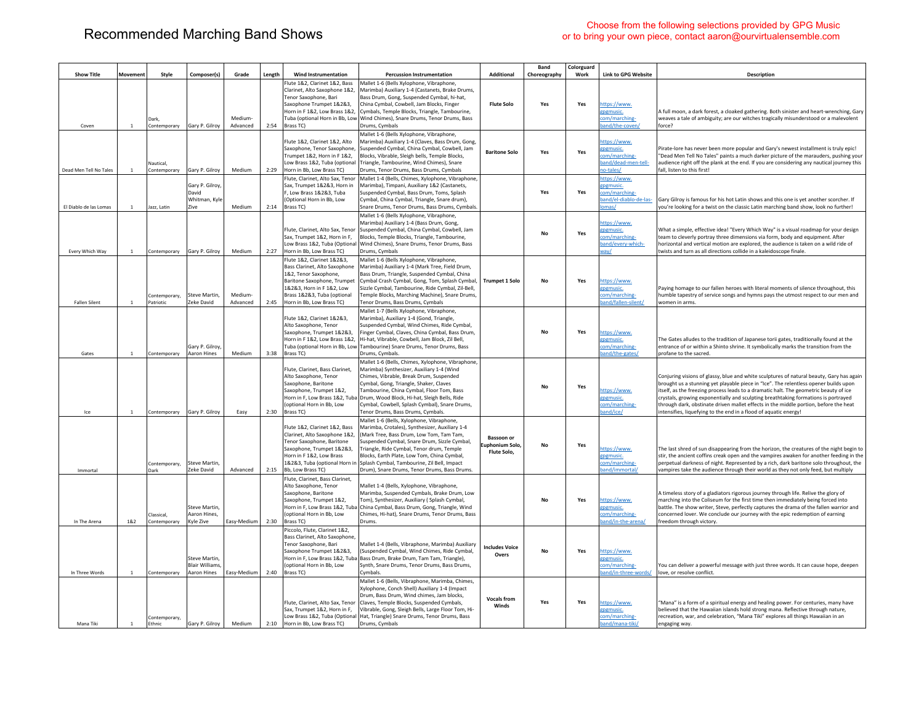| <b>Show Title</b>      | Movement       | Style                      | Composer(s)                                                 | Grade               | Length | <b>Wind Instrumentation</b>                                                                                                                                                                                  | <b>Percussion Instrumentation</b>                                                                                                                                                                                                                                                                                                                                                                     | Additional                                         | <b>Band</b><br>Choreography | Colorguard<br>Work | <b>Link to GPG Website</b>                                                           | Description                                                                                                                                                                                                                                                                                                                                                                                                                                                                                                                 |
|------------------------|----------------|----------------------------|-------------------------------------------------------------|---------------------|--------|--------------------------------------------------------------------------------------------------------------------------------------------------------------------------------------------------------------|-------------------------------------------------------------------------------------------------------------------------------------------------------------------------------------------------------------------------------------------------------------------------------------------------------------------------------------------------------------------------------------------------------|----------------------------------------------------|-----------------------------|--------------------|--------------------------------------------------------------------------------------|-----------------------------------------------------------------------------------------------------------------------------------------------------------------------------------------------------------------------------------------------------------------------------------------------------------------------------------------------------------------------------------------------------------------------------------------------------------------------------------------------------------------------------|
|                        |                |                            |                                                             |                     |        | Flute 1&2. Clarinet 1&2. Bass                                                                                                                                                                                | Mallet 1-6 (Bells Xylophone, Vibraphone,                                                                                                                                                                                                                                                                                                                                                              |                                                    |                             |                    |                                                                                      |                                                                                                                                                                                                                                                                                                                                                                                                                                                                                                                             |
| Coven                  | $\overline{1}$ | Dark<br>Contemporary       | Gary P. Gilroy                                              | Medium-<br>Advanced | 2:54   | Clarinet. Alto Saxophone 1&2<br><b>Tenor Saxophone, Bari</b><br>Saxophone Trumpet 1&2&3.<br>Horn in F1&2. Low Brass 1&2.<br>Brass TC)                                                                        | Marimba) Auxiliary 1-4 (Castanets, Brake Drums,<br>Bass Drum, Gong, Suspended Cymbal, hi-hat,<br>China Cymbal, Cowbell, Jam Blocks, Finger<br>Cymbals, Temple Blocks, Triangle, Tambourine,<br>Tuba (optional Horn in Bb, Low Wind Chimes), Snare Drums, Tenor Drums, Bass<br>Drums, Cymbals                                                                                                          | <b>Flute Solo</b>                                  | Yes                         | Yes                | https://www.<br>gpgmusic.<br>com/marching-<br>and/the-coven/                         | A full moon, a dark forest, a cloaked gathering. Both sinister and heart-wrenching, Gary<br>weaves a tale of ambiguity; are our witches tragically misunderstood or a malevolent<br>force?                                                                                                                                                                                                                                                                                                                                  |
| Dead Men Tell No Tales | $\overline{1}$ | Nautical.<br>Contemporary  | Gary P. Gilroy                                              | Medium              | 2:29   | Flute 1&2, Clarinet 1&2, Alto<br>Saxophone, Tenor Saxophone,<br>Trumpet 1&2, Horn in F 1&2,<br>Low Brass 1&2. Tuba (optional<br>Horn in Bb, Low Brass TC)                                                    | Mallet 1-6 (Bells Xylophone, Vibraphone,<br>Marimba) Auxiliary 1-4 (Claves, Bass Drum, Gong,<br>Suspended Cymbal, China Cymbal, Cowbell, Jam<br>Blocks, Vibrable, Sleigh bells, Temple Blocks,<br>Triangle, Tambourine, Wind Chimes), Snare<br>Drums, Tenor Drums, Bass Drums, Cymbals                                                                                                                | <b>Baritone Solo</b>                               | Yes                         | Yes                | https://www.<br>gpgmusic.<br>:om/marching-<br>and/dead-men-tell-<br><b>10-tales</b>  | Pirate-lore has never been more popular and Gary's newest installment is truly epic!<br>"Dead Men Tell No Tales" paints a much darker picture of the marauders, pushing your<br>audience right off the plank at the end. If you are considering any nautical journey this<br>fall, listen to this first!                                                                                                                                                                                                                    |
| El Diablo de las Lomas | <sup>1</sup>   | Jazz, Latin                | Gary P. Gilroy,<br>David<br>Whitman, Kyle<br>Zive           | Medium              | 2:14   | Flute, Clarinet, Alto Sax, Tenor<br>Sax. Trumnet 1&2&3. Horn in<br>F. Low Brass 1&2&3. Tuba<br>(Optional Horn in Bb, Low<br>Brass TC)                                                                        | Mallet 1-4 (Bells, Chimes, Xylophone, Vibraphone,<br>Marimba), Timpani, Auxiliary 1&2 (Castanets,<br>Suspended Cymbal, Bass Drum, Toms, Splash<br>Cymbal, China Cymbal, Triangle, Snare drum),<br>Snare Drums, Tenor Drums, Bass Drums, Cymbals.                                                                                                                                                      |                                                    | Yes                         | Yes                | ittps://www.<br>gpgmusic.<br>com/marching-<br>band/el-diablo-de-las-<br><u>omas/</u> | Gary Gilroy is famous for his hot Latin shows and this one is yet another scorcher. If<br>you're looking for a twist on the classic Latin marching band show, look no further!                                                                                                                                                                                                                                                                                                                                              |
| Every Which Way        | <sup>1</sup>   | Contemporary               | Gary P. Gilroy                                              | Medium              | 2:27   | Flute, Clarinet, Alto Sax, Tenor<br>Sax, Trumpet 1&2, Horn in F,<br>Horn in Bb, Low Brass TC)                                                                                                                | Mallet 1-6 (Bells Xylophone, Vibraphone,<br>Marimba) Auxiliary 1-4 (Bass Drum, Gong,<br>Suspended Cymbal, China Cymbal, Cowbell, Jam<br>Blocks, Temple Blocks, Triangle, Tambourine,<br>Low Brass 1&2, Tuba (Optional Wind Chimes), Snare Drums, Tenor Drums, Bass<br>Drums, Cymbals                                                                                                                  |                                                    | <b>No</b>                   | Yes                | ttps://www.<br>pgmusic.<br>com/marching-<br>band/every-which-<br>way/                | What a simple, effective idea! "Every Which Way" is a visual roadmap for your design<br>team to cleverly portray three dimensions via form, body and equipment. After<br>horizontal and vertical motion are explored, the audience is taken on a wild ride of<br>twists and turn as all directions collide in a kaleidoscope finale.                                                                                                                                                                                        |
| <b>Fallen Silent</b>   | <sup>1</sup>   | Contemporary,<br>Patriotic | Steve Martin,<br>Zeke David                                 | Medium-<br>Advanced | 2:45   | Flute 1&2. Clarinet 1&2&3.<br>Bass Clarinet, Alto Saxophone<br>1&2, Tenor Saxophone,<br>Baritone Saxophone, Trumpet<br>1&2&3, Horn in F 1&2, Low<br>Brass 1&2&3, Tuba (optional<br>Horn in Bb, Low Brass TC) | Mallet 1-6 (Bells Xylophone, Vibraphone,<br>Marimba) Auxiliary 1-4 (Mark Tree, Field Drum,<br>Bass Drum, Triangle, Suspended Cymbal, China<br>Cymbal Crash Cymbal, Gong, Tom, Splash Cymbal,<br>Sizzle Cymbal, Tambourine, Ride Cymbal, Zil-Bell,<br>Femple Blocks, Marching Machine), Snare Drums,<br>Tenor Drums, Bass Drums, Cymbals                                                               | <b>Trumpet 1 Solo</b>                              | <b>No</b>                   | Yes                | https://www.<br>epemusic.<br>com/marching-<br>band/fallen-silent/                    | Paying homage to our fallen heroes with literal moments of silence throughout, this<br>humble tapestry of service songs and hymns pays the utmost respect to our men and<br>women in arms.                                                                                                                                                                                                                                                                                                                                  |
| Gates                  | <sup>1</sup>   | Contemporary               | Gary P. Gilroy,<br>Aaron Hines                              | Medium              | 3:38   | Flute 1&2. Clarinet 1&2&3.<br>Alto Saxophone, Tenor<br>Saxophone, Trumpet 1&2&3,<br>Horn in F 1&2, Low Brass 1&2,<br>Tuba (optional Horn in Bb, Low<br>Brass TC)                                             | Mallet 1-7 (Bells Xylophone, Vibraphone,<br>Marimba), Auxiliary 1-4 (Gond, Triangle,<br>Suspended Cymbal, Wind Chimes, Ride Cymbal,<br>inger Cymbal, Claves, China Cymbal, Bass Drum,<br>Hi-hat, Vibrable, Cowbell, Jam Block, Zil Bell,<br>Tambourine) Snare Drums, Tenor Drums, Bass<br>Drums, Cymbals.                                                                                             |                                                    | <b>No</b>                   | Yes                | https://www.<br>gpgmusic.<br>com/marching-<br>band/the-gates/                        | The Gates alludes to the tradition of Japanese torii gates, traditionally found at the<br>entrance of or within a Shinto shrine. It symbolically marks the transition from the<br>profane to the sacred.                                                                                                                                                                                                                                                                                                                    |
| Ice                    | $\overline{1}$ | Contemporary               | Gary P. Gilroy                                              | Easy                | 2:30   | Flute, Clarinet, Bass Clarinet,<br>Alto Saxophone, Tenor<br>Saxophone, Baritone<br>Saxophone, Trumpet 1&2,<br>(optional Horn in Bb. Low<br>Brass TC)                                                         | Mallet 1-6 (Bells, Chimes, Xylophone, Vibraphone,<br>Marimba) Synthesizer, Auxiliary 1-4 (Wind<br>Chimes, Vibrable, Break Drum, Suspended<br>Cymbal, Gong, Triangle, Shaker, Claves<br>Fambourine, China Cymbal, Floor Tom, Bass<br>Horn in F, Low Brass 1&2, Tuba Drum, Wood Block, Hi-hat, Sleigh Bells, Ride<br>Cymbal, Cowbell, Splash Cymbal), Snare Drums,<br>Tenor Drums, Bass Drums, Cymbals. |                                                    | <b>No</b>                   | Yes                | https://www.<br>gpgmusic.<br>com/marching-<br>and/ice/                               | Conjuring visions of glassy, blue and white sculptures of natural beauty, Gary has again<br>brought us a stunning yet playable piece in "Ice". The relentless opener builds upon<br>itself, as the freezing process leads to a dramatic halt. The geometric beauty of ice<br>crystals, growing exponentially and sculpting breathtaking formations is portrayed<br>through dark, obstinate driven mallet effects in the middle portion, before the heat<br>intensifies, liquefying to the end in a flood of aquatic energy! |
| Immortal               |                | Contemporary,<br>Dark      | Steve Martin.<br>Zeke David                                 | Advanced            | 2:15   | Flute 1&2. Clarinet 1&2. Bass<br>Clarinet. Alto Saxophone 1&2<br>Tenor Saxophone, Baritone<br>Saxophone, Trumpet 1&2&3,<br>Horn in F 1&2, Low Brass<br>1&2&3, Tuba (optional Horn in<br>Bb, Low Brass TC)    | Mallet 1-6 (Bells, Xylophone, Vibraphone,<br>Marimba, Crotales), Synthesizer, Auxiliary 1-4<br>(Mark Tree, Bass Drum, Low Tom, Tam Tam,<br>Suspended Cymbal, Snare Drum, Sizzle Cymbal,<br>Triangle, Ride Cymbal, Tenor drum, Temple<br>Blocks, Earth Plate, Low Tom, China Cymbal,<br>Splash Cymbal, Tambourine, Zil Bell, Impact<br>Drum), Snare Drums, Tenor Drums, Bass Drums.                    | <b>Bassoon</b> or<br>uphonium Solo,<br>Flute Solo. | No                          | Yes                | ittps://www.<br>gpgmusic.<br>:om/marching-<br>and/immortal/                          | The last shred of sun disappearing from the horizon, the creatures of the night begin to<br>stir, the ancient coffins creak open and the vampires awaken for another feeding in the<br>perpetual darkness of night. Represented by a rich, dark baritone solo throughout, the<br>vampires take the audience through their world as they not only feed, but multiply                                                                                                                                                         |
| In The Arena           | 1&2            | Classical.<br>Contemporary | <b>Steve Martin</b><br>Aaron Hines,<br>Kyle Zive            | Easy-Medium         | 2:30   | Flute, Clarinet, Bass Clarinet,<br>Alto Saxophone, Tenor<br>Saxophone, Baritone<br>Saxophone, Trumpet 1&2,<br>(optional Horn in Bb, Low<br>Brass TC)                                                         | Mallet 1-4 (Bells, Xylophone, Vibraphone,<br>Marimba, Suspended Cymbals, Brake Drum, Low<br>Tom), Synthesizer, Auxiliary (Splash Cymbal,<br>Horn in F. Low Brass 1&2. Tuba China Cymbal, Bass Drum, Gong, Triangle, Wind<br>Chimes, Hi-hat), Snare Drums, Tenor Drums, Bass<br>Drums.                                                                                                                 |                                                    | No                          | Yes                | https://www.<br>gpgmusic.<br>com/marching-<br>band/in-the-arena/                     | A timeless story of a gladiators rigorous journey through life. Relive the glory of<br>marching into the Coliseum for the first time then immediately being forced into<br>battle. The show writer, Steve, perfectly captures the drama of the fallen warrior and<br>concerned lover. We conclude our journey with the epic redemption of earning<br>freedom through victory.                                                                                                                                               |
| In Three Words         | $\mathbf{1}$   | Contemporary               | <b>Steve Martin</b><br><b>Blair Williams</b><br>Aaron Hines | Easy-Medium         | 2:40   | Piccolo, Flute, Clarinet 1&2,<br>Bass Clarinet, Alto Saxophone,<br>Tenor Saxophone, Bari<br>Saxophone Trumpet 1&2&3,<br>(optional Horn in Bb, Low<br>Brass TC)                                               | Mallet 1-4 (Bells, Vibraphone, Marimba) Auxiliary<br>(Suspended Cymbal, Wind Chimes, Ride Cymbal,<br>Horn in F. Low Brass 1&2. Tuba Bass Drum, Brake Drum, Tam Tam, Triangle).<br>Synth, Snare Drums, Tenor Drums, Bass Drums,<br>Cymbals.                                                                                                                                                            | <b>Includes Voice</b><br>Overs                     | No                          | Yes                | https://www.<br>gpgmusic.<br>com/marching-<br>band/in-three-words/                   | You can deliver a powerful message with just three words. It can cause hope, deepen<br>love, or resolve conflict                                                                                                                                                                                                                                                                                                                                                                                                            |
| Mana Tiki              | <sup>1</sup>   | Contemporary<br>Ethnic     | Gary P. Gilroy                                              | Medium              | 2:10   | Flute, Clarinet, Alto Sax, Tenor<br>Sax, Trumpet 1&2, Horn in F,<br>Horn in Bb, Low Brass TC)                                                                                                                | Mallet 1-6 (Bells, Vibraphone, Marimba, Chimes,<br>Xylophone, Conch Shell) Auxiliary 1-4 (Impact<br>Drum, Bass Drum, Wind chimes, Jam blocks,<br>Claves, Temple Blocks, Suspended Cymbals,<br>Vibrable, Gong, Sleigh Bells, Large Floor Tom, Hi-<br>Low Brass 1&2, Tuba (Optional Hat, Triangle) Snare Drums, Tenor Drums, Bass<br>Drums, Cymbals                                                     | Vocals from<br>Winds                               | Yes                         | Yes                | https://www.<br>gpgmusic.<br>com/marching-<br><u>)and/mana-tiki/</u>                 | "Mana" is a form of a spiritual energy and healing power. For centuries, many have<br>believed that the Hawaiian islands hold strong mana. Reflective through nature,<br>recreation, war, and celebration, "Mana Tiki" explores all things Hawaiian in an<br>engaging way.                                                                                                                                                                                                                                                  |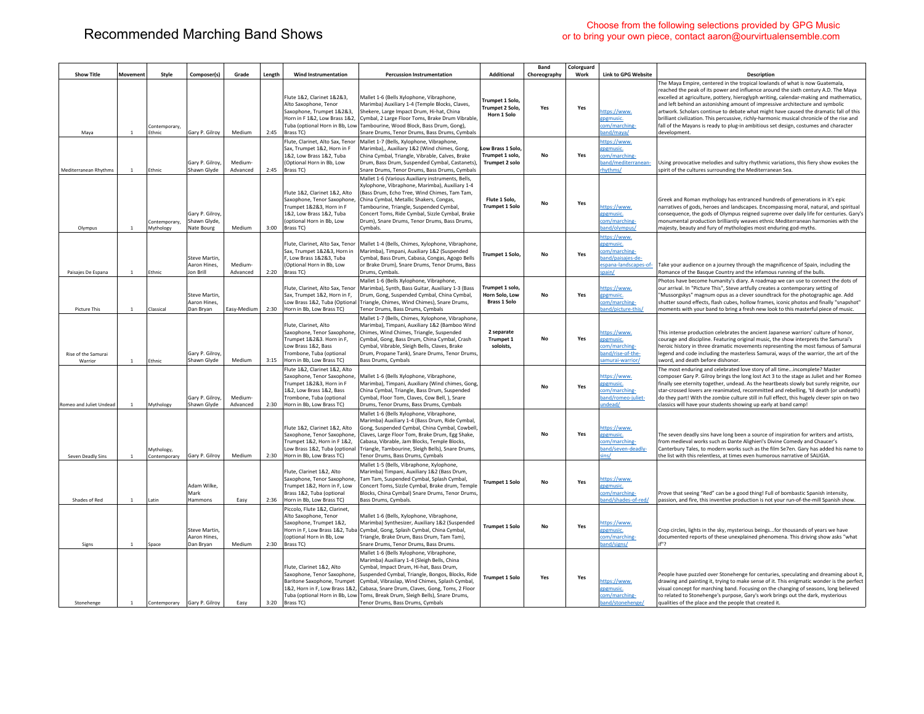## Choose from the following selections provided by GPG Music<br>
Choose from the following selections provided by GPG Music<br>
Choose from the following selections provided by GPG Music<br>
Choose from the following selections provi or to bring your own piece, contact aaron@ourvirtualensemble.com

| <b>Show Title</b>                     | Movement       | Style                         | Composer(s)                                      | Grade               | Length | <b>Wind Instrumentation</b>                                                                                                                                                   | <b>Percussion Instrumentation</b>                                                                                                                                                                                                                                                                                                                                                                                                              | <b>Additional</b>                                             | Band<br>Choreography | Colorguard<br>Work | <b>Link to GPG Website</b>                                                                        | <b>Description</b>                                                                                                                                                                                                                                                                                                                                                                                                                                                                                                                                                                                                                          |
|---------------------------------------|----------------|-------------------------------|--------------------------------------------------|---------------------|--------|-------------------------------------------------------------------------------------------------------------------------------------------------------------------------------|------------------------------------------------------------------------------------------------------------------------------------------------------------------------------------------------------------------------------------------------------------------------------------------------------------------------------------------------------------------------------------------------------------------------------------------------|---------------------------------------------------------------|----------------------|--------------------|---------------------------------------------------------------------------------------------------|---------------------------------------------------------------------------------------------------------------------------------------------------------------------------------------------------------------------------------------------------------------------------------------------------------------------------------------------------------------------------------------------------------------------------------------------------------------------------------------------------------------------------------------------------------------------------------------------------------------------------------------------|
| Maya                                  | <sup>1</sup>   | Contemporary,<br>Ethnic       | Gary P. Gilroy                                   | Medium              | 2:45   | Flute 1&2. Clarinet 1&2&3.<br>Alto Saxophone, Tenor<br>Saxophone, Trumpet 1&2&3,<br>Horn in F 1&2, Low Brass 1&2,<br>Brass TC)<br>Flute, Clarinet, Alto Sax, Tenor            | Mallet 1-6 (Bells Xylophone, Vibraphone,<br>Marimba) Auxiliary 1-4 (Temple Blocks, Claves,<br>Shekere, Large Impact Drum, Hi-hat, China<br>Cymbal, 2 Large Floor Toms, Brake Drum Vibrable,<br>Tuba (optional Horn in Bb, Low Tambourine, Wood Block, Bass Drum, Gong),<br>Snare Drums, Tenor Drums, Bass Drums, Cymbals<br>Mallet 1-7 (Bells, Xylophone, Vibraphone,                                                                          | <b>Trumpet 1 Solo</b><br><b>Trumpet 2 Solo</b><br>Horn 1 Solo | Yes                  | Yes                | https://www.<br>gpgmusic.<br>com/marching-<br>Jand/maya<br>nttps://www.                           | The Maya Empire, centered in the tropical lowlands of what is now Guatemala,<br>reached the peak of its power and influence around the sixth century A.D. The Maya<br>excelled at agriculture, pottery, hieroglyph writing, calendar-making and mathematics,<br>and left behind an astonishing amount of impressive architecture and symbolic<br>artwork. Scholars continue to debate what might have caused the dramatic fall of this<br>brilliant civilization. This percussive, richly-harmonic musical chronicle of the rise and<br>fall of the Mayans is ready to plug-in ambitious set design, costumes and character<br>development. |
| <b>Mediterranean Rhythms</b>          | $\overline{1}$ | <b>Fthnic</b>                 | Gary P. Gilroy,<br>Shawn Glyde                   | Medium-<br>Advanced | 2:45   | Sax. Trumpet 1&2. Horn in F<br>1&2, Low Brass 1&2, Tuba<br>(Ontional Horn in Bb. Low<br>Brass TC)                                                                             | Marimba),, Auxiliary 1&2 (Wind chimes, Gong,<br>China Cymbal, Triangle, Vibrable, Calves, Brake<br>Drum, Bass Drum, Suspended Cymbal, Castanets),<br>Snare Drums, Tenor Drums, Bass Drums, Cymbals                                                                                                                                                                                                                                             | Low Brass 1 Solo.<br>Trumpet 1 solo.<br>Trumpet 2 solo        | No                   | Yes                | pgmusic.<br>om/marching-<br>band/mediterranean-<br>rhythms/                                       | Using provocative melodies and sultry rhythmic variations, this fiery show evokes the<br>spirit of the cultures surrounding the Mediterranean Sea.                                                                                                                                                                                                                                                                                                                                                                                                                                                                                          |
| Olympus                               | $\overline{1}$ | Contemporary,<br>Mythology    | Gary P. Gilroy<br>Shawn Glyde,<br>Nate Bourg     | Medium              | 3:00   | Flute 1&2, Clarinet 1&2, Alto<br>Saxophone, Tenor Saxophone,<br>Trumpet 1&2&3, Horn in F<br>182. Low Brass 182. Tuba<br>(optional Horn in Bb, Low<br>Brass TC)                | Mallet 1-6 (Various Auxiliary instruments, Bells,<br>Xylophone, Vibraphone, Marimba), Auxiliary 1-4<br>(Bass Drum, Echo Tree, Wind Chimes, Tam Tam,<br>China Cymbal, Metallic Shakers, Congas,<br>Tambourine, Triangle, Suspended Cymbal,<br>Concert Toms, Ride Cymbal, Sizzle Cymbal, Brake<br>Drum), Snare Drums, Tenor Drums, Bass Drums,<br>Cymbals.                                                                                       | Flute 1 Solo.<br><b>Trumpet 1 Solo</b>                        | No                   | Yes                | ittps://www.<br>gpgmusic.<br>com/marching-<br>band/olympus/                                       | Greek and Roman mythology has entranced hundreds of generations in it's epic<br>narratives of gods, heroes and landscapes. Encompassing moral, natural, and spiritual<br>consequence, the gods of Olympus reigned supreme over daily life for centuries. Gary's<br>monumental production brilliantly weaves ethnic Mediterranean harmonies with the<br>majesty, beauty and fury of mythologies most enduring god-myths.                                                                                                                                                                                                                     |
| Paisaies De Espana                    | $\overline{1}$ | <b>Fthnic</b>                 | Steve Martin,<br>Aaron Hines.<br>Jon Brill       | Medium<br>Advanced  | 2:20   | Flute, Clarinet, Alto Sax, Tenor<br>Sax, Trumpet 1&2&3, Horn in<br>F, Low Brass 1&2&3, Tuba<br>(Optional Horn in Bb, Low<br>Brass TC)                                         | Mallet 1-4 (Bells, Chimes, Xylophone, Vibraphone,<br>Marimba), Timpani, Auxiliary 1&2 (Suspended<br>Cymbal, Bass Drum, Cabasa, Congas, Agogo Bells<br>or Brake Drum). Snare Drums. Tenor Drums. Bass<br>Drums, Cymbals.                                                                                                                                                                                                                        | Trumpet 1 Solo.                                               | No                   | Yes                | ittps://www.<br>gpgmusic.<br>com/marching-<br>and/paisajes-de-<br>espana-landscapes-of-<br>spain/ | Take your audience on a journey through the magnificence of Spain, including the<br>Romance of the Basque Country and the infamous running of the bulls.                                                                                                                                                                                                                                                                                                                                                                                                                                                                                    |
| Picture This                          | $\,$ 1         | Classical                     | Steve Martin,<br>Aaron Hines.<br>Dan Bryan       | Easy-Medium         | 2:30   | Flute, Clarinet, Alto Sax, Tenor<br>Sax, Trumpet 1&2, Horn in F,<br>Horn in Bb, Low Brass TC)                                                                                 | Mallet 1-6 (Bells Xylophone, Vibraphone,<br>Marimba), Synth, Bass Guitar, Auxiliary 1-3 (Bass<br>Drum, Gong, Suspended Cymbal, China Cymbal,<br>Low Brass 1&2, Tuba (Optional Triangle, Chimes, Wind Chimes), Snare Drums,<br>Tenor Drums, Bass Drums, Cymbals                                                                                                                                                                                 | Trumpet 1 solo<br>Horn Solo, Low<br><b>Brass 1 Solo</b>       | No                   | Yes                | ttps://www.<br>gpgmusic.<br>om/marching-<br>and/picture-this/                                     | Photos have become humanity's diary. A roadmap we can use to connect the dots of<br>our arrival. In "Picture This", Steve artfully creates a contemporary setting of<br>"Mussorgskys" magnum opus as a clever soundtrack for the photographic age. Add<br>shutter sound effects, flash cubes, hollow frames, iconic photos and finally "snapshot"<br>moments with your band to bring a fresh new look to this masterful piece of music.                                                                                                                                                                                                     |
| <b>Rise of the Samurai</b><br>Warrior | <sup>1</sup>   | Ethnic                        | Gary P. Gilroy,<br>Shawn Glyde                   | Medium              | 3:15   | Flute, Clarinet, Alto<br>Saxophone, Tenor Saxophone,<br>Trumpet 1&2&3. Horn in F,<br>Low Brass 1&2, Bass<br>Trombone, Tuba (optional<br>Horn in Bb, Low Brass TC)             | Mallet 1-7 (Bells, Chimes, Xylophone, Vibraphone,<br>Marimba), Timpani, Auxiliary 1&2 (Bamboo Wind<br>Chimes, Wind Chimes, Triangle, Suspended<br>Cymbal, Gong, Bass Drum, China Cymbal, Crash<br>Cymbal, Vibrable, Sleigh Bells, Claves, Brake<br>Drum, Propane Tank), Snare Drums, Tenor Drums,<br>Bass Drums, Cymbals                                                                                                                       | 2 separate<br>Trumpet 1<br>soloists,                          | <b>No</b>            | Yes                | ttps://www.<br>epemusic.<br>om/marching-<br>and/rise-of-the-<br>amurai-warrior/                   | This intense production celebrates the ancient Japanese warriors' culture of honor,<br>courage and discipline. Featuring original music, the show interprets the Samurai's<br>heroic history in three dramatic movements representing the most famous of Samurai<br>legend and code including the masterless Samurai, ways of the warrior, the art of the<br>sword, and death before dishonor.                                                                                                                                                                                                                                              |
| Romeo and Juliet Undead               | <sup>1</sup>   | Mythology                     | Gary P. Gilroy,<br>Shawn Glyde                   | Medium<br>Advanced  | 2:30   | Flute 1&2, Clarinet 1&2, Alto<br>Saxophone, Tenor Saxophone,<br>Trumpet 1&2&3, Horn in F<br>1&2, Low Brass 1&2, Bass<br>Trombone, Tuba (optional<br>Horn in Bb, Low Brass TC) | Mallet 1-6 (Bells Xylophone, Vibraphone,<br>Marimba), Timpani, Auxiliary (Wind chimes, Gong,<br>China Cymbal, Triangle, Bass Drum, Suspended<br>Cymbal, Floor Tom, Claves, Cow Bell, ), Snare<br>Drums, Tenor Drums, Bass Drums, Cymbals                                                                                                                                                                                                       |                                                               | <b>No</b>            | Yes                | https://www.<br>zpgmusic.<br>om/marching-<br>and/romeo-juliet-<br>ndead/                          | The most enduring and celebrated love story of all timeincomplete? Master<br>composer Gary P. Gilroy brings the long lost Act 3 to the stage as Juliet and her Romeo<br>finally see eternity together, undead. As the heartbeats slowly but surely reignite, our<br>star-crossed lovers are reanimated, recommitted and rebelling, 'til death (or undeath)<br>do they part! With the zombie culture still in full effect, this hugely clever spin on two<br>classics will have your students showing up early at band camp!                                                                                                                 |
| Seven Deadly Sins                     | <sup>1</sup>   | Mythology,<br>Contemporary    | Gary P. Gilroy                                   | Medium              | 2:30   | Flute 1&2, Clarinet 1&2, Alto<br>Saxophone, Tenor Saxophone.<br>Trumpet 1&2, Horn in F 1&2,<br>Low Brass 1&2, Tuba (optional<br>Horn in Bb, Low Brass TC)                     | Mallet 1-6 (Bells Xylophone, Vibraphone,<br>Marimba) Auxiliary 1-4 (Bass Drum, Ride Cymbal,<br>Gong, Suspended Cymbal, China Cymbal, Cowbell<br>Claves, Large Floor Tom, Brake Drum, Egg Shake,<br>Cabasa, Vibrable, Jam Blocks, Temple Blocks,<br>Triangle, Tambourine, Sleigh Bells), Snare Drums,<br>Tenor Drums, Bass Drums, Cymbals                                                                                                       |                                                               | No                   | Yes                | ittps://www.<br>gpgmusic.<br>com/marching-<br>band/seven-deadly-<br>ins/                          | The seven deadly sins have long been a source of inspiration for writers and artists,<br>from medieval works such as Dante Alighieri's Divine Comedy and Chaucer's<br>Canterbury Tales, to modern works such as the film Se7en. Gary has added his name to<br>the list with this relentless, at times even humorous narrative of SALIGIA.                                                                                                                                                                                                                                                                                                   |
| Shades of Red                         | <sup>1</sup>   | Latin                         | Adam Wilke<br>Mark<br>Hammons                    | Easy                | 2:36   | Flute, Clarinet 1&2, Alto<br>Saxophone, Tenor Saxophone,<br>Trumpet 1&2. Horn in F. Low<br>Brass 1&2, Tuba (optional<br>Horn in Bb, Low Brass TC)                             | Mallet 1-5 (Bells, Vibraphone, Xylophone,<br>Marimba) Timpani, Auxiliary 1&2 (Bass Drum,<br>Tam Tam, Suspended Cymbal, Splash Cymbal,<br>Concert Toms, Sizzle Cymbal, Brake drum, Temple<br>Blocks, China Cymbal) Snare Drums, Tenor Drums,<br>Bass Drums, Cymbals.                                                                                                                                                                            | <b>Trumpet 1 Solo</b>                                         | <b>No</b>            | Yes                | https://www.<br>gpgmusic.<br>com/marching-<br>and/shades-of-red/                                  | Prove that seeing "Red" can be a good thing! Full of bombastic Spanish intensity,<br>passion, and fire, this inventive production is not your run-of-the-mill Spanish show                                                                                                                                                                                                                                                                                                                                                                                                                                                                  |
| Signs                                 | <sup>1</sup>   | Space                         | <b>Steve Martin</b><br>Aaron Hines,<br>Dan Bryan | Medium              | 2:30   | Piccolo, Flute 1&2, Clarinet,<br>Alto Saxophone, Tenor<br>Saxophone, Trumpet 1&2,<br>(optional Horn in Bb, Low<br>Brass TC)                                                   | Mallet 1-6 (Bells, Xylophone, Vibraphone,<br>Marimba) Synthesizer, Auxiliary 1&2 (Suspended<br>Horn in F, Low Brass 1&2, Tuba Cymbal, Gong, Splash Cymbal, China Cymbal,<br>Triangle, Brake Drum, Bass Drum, Tam Tam),<br>Snare Drums, Tenor Drums, Bass Drums,                                                                                                                                                                                | <b>Trumpet 1 Solo</b>                                         | <b>No</b>            | Yes                | nttps://www.<br>zpgmusic.<br>.om/marching-<br>and/signs/                                          | Crop circles, lights in the sky, mysterious beingsfor thousands of years we have<br>documented reports of these unexplained phenomena. This driving show asks "what<br>if"?                                                                                                                                                                                                                                                                                                                                                                                                                                                                 |
| Stonehenge                            | $\overline{1}$ | Contemporary   Gary P. Gilroy |                                                  | Easy                | 3:20   | Flute, Clarinet 1&2, Alto<br>Saxophone, Tenor Saxophone,<br>Baritone Saxophone, Trumpet<br>Brass TC)                                                                          | Mallet 1-6 (Bells Xylophone, Vibraphone,<br>Marimba) Auxiliary 1-4 (Sleigh Bells, China<br>Cymbal, Impact Drum, Hi-hat, Bass Drum,<br>Suspended Cymbal, Triangle, Bongos, Blocks, Ride<br>Cymbal, Vibraslap, Wind Chimes, Splash Cymbal,<br>1&2, Horn in F, Low Brass 1&2, Cabasa, Snare Drum, Claves, Gong, Toms, 2 Floor<br>Tuba (optional Horn in Bb, Low Toms, Break Drum, Sleigh Bells), Snare Drums,<br>Tenor Drums, Bass Drums, Cymbals | <b>Trumpet 1 Solo</b>                                         | Yes                  | Yes                | https://www.<br>gpgmusic.<br>com/marching-<br>band/stonehenge/                                    | People have puzzled over Stonehenge for centuries, speculating and dreaming about it,<br>drawing and painting it, trying to make sense of it. This enigmatic wonder is the perfect<br>visual concept for marching band. Focusing on the changing of seasons, long believed<br>to related to Stonehenge's purpose, Gary's work brings out the dark, mysterious<br>qualities of the place and the people that created it.                                                                                                                                                                                                                     |